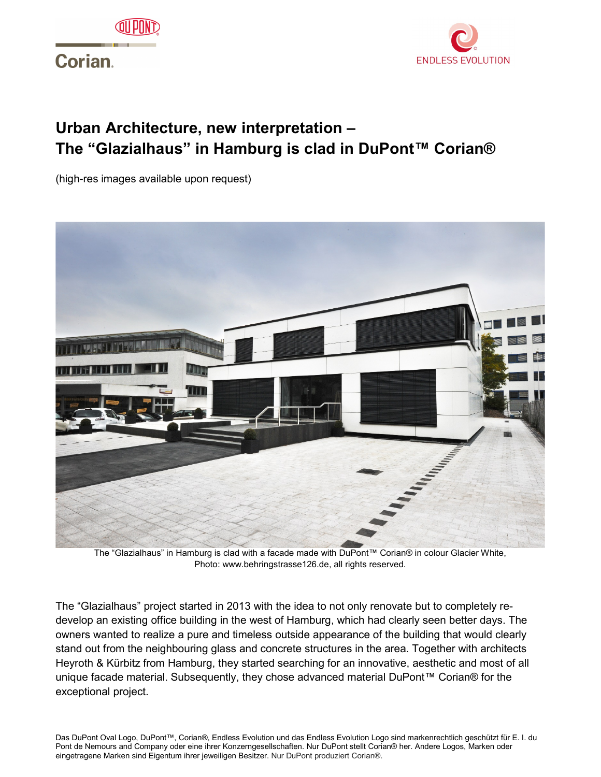

## **Corian**



## **Urban Architecture, new interpretation – The "Glazialhaus" in Hamburg is clad in DuPont™ Corian®**

(high-res images available upon request)



The "Glazialhaus" in Hamburg is clad with a facade made with DuPont™ Corian® in colour Glacier White, Photo: www.behringstrasse126.de, all rights reserved.

The "Glazialhaus" project started in 2013 with the idea to not only renovate but to completely redevelop an existing office building in the west of Hamburg, which had clearly seen better days. The owners wanted to realize a pure and timeless outside appearance of the building that would clearly stand out from the neighbouring glass and concrete structures in the area. Together with architects Heyroth & Kürbitz from Hamburg, they started searching for an innovative, aesthetic and most of all unique facade material. Subsequently, they chose advanced material DuPont™ Corian® for the exceptional project.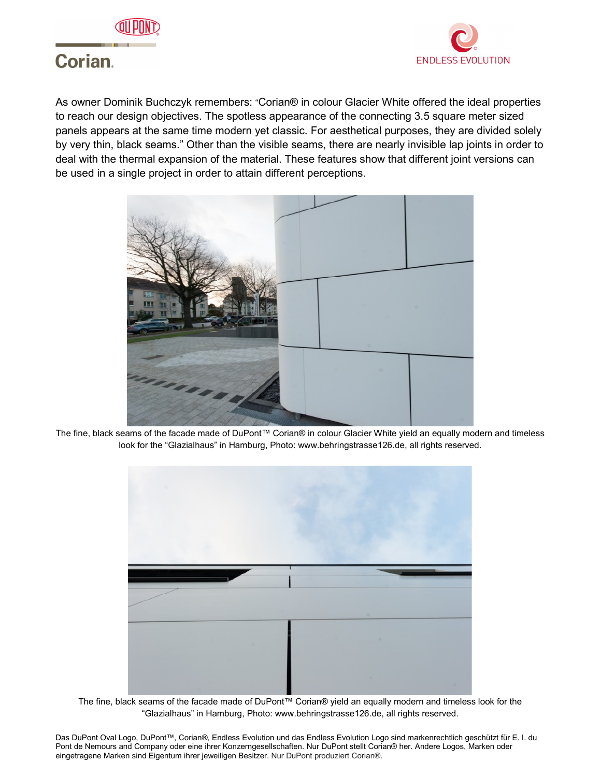



## **Corian**

As owner Dominik Buchczyk remembers: "Corian® in colour Glacier White offered the ideal properties to reach our design objectives. The spotless appearance of the connecting 3.5 square meter sized panels appears at the same time modern yet classic. For aesthetical purposes, they are divided solely by very thin, black seams." Other than the visible seams, there are nearly invisible lap joints in order to deal with the thermal expansion of the material. These features show that different joint versions can be used in a single project in order to attain different perceptions.



The fine, black seams of the facade made of DuPont™ Corian® in colour Glacier White yield an equally modern and timeless look for the "Glazialhaus" in Hamburg, Photo: www.behringstrasse126.de, all rights reserved.



The fine, black seams of the facade made of DuPont™ Corian® yield an equally modern and timeless look for the "Glazialhaus" in Hamburg, Photo: www.behringstrasse126.de, all rights reserved.

Das DuPont Oval Logo, DuPont™, Corian®, Endless Evolution und das Endless Evolution Logo sind markenrechtlich geschützt für E. I. du Pont de Nemours and Company oder eine ihrer Konzerngesellschaften. Nur DuPont stellt Corian® her. Andere Logos, Marken oder eingetragene Marken sind Eigentum ihrer jeweiligen Besitzer. Nur DuPont produziert Corian®.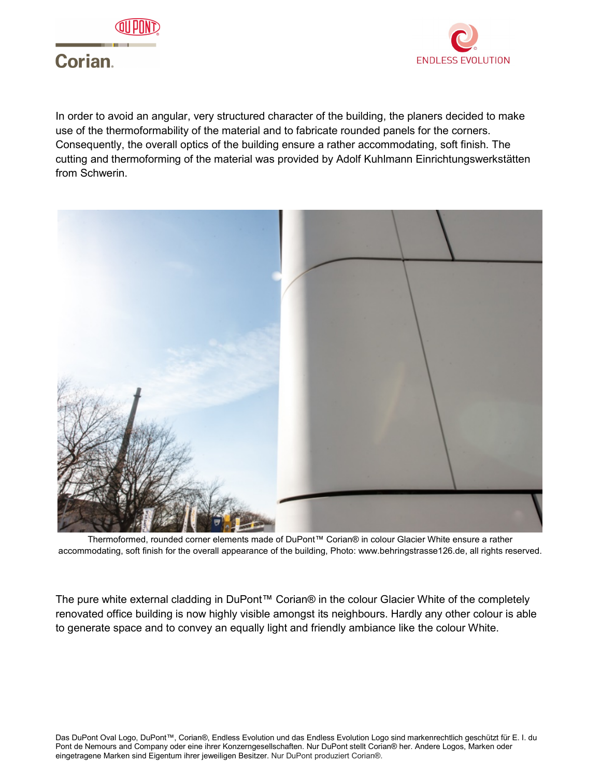



# **Corian.**

In order to avoid an angular, very structured character of the building, the planers decided to make use of the thermoformability of the material and to fabricate rounded panels for the corners. Consequently, the overall optics of the building ensure a rather accommodating, soft finish. The cutting and thermoforming of the material was provided by Adolf Kuhlmann Einrichtungswerkstätten from Schwerin.



Thermoformed, rounded corner elements made of DuPont™ Corian® in colour Glacier White ensure a rather accommodating, soft finish for the overall appearance of the building, Photo: www.behringstrasse126.de, all rights reserved.

The pure white external cladding in DuPont™ Corian® in the colour Glacier White of the completely renovated office building is now highly visible amongst its neighbours. Hardly any other colour is able to generate space and to convey an equally light and friendly ambiance like the colour White.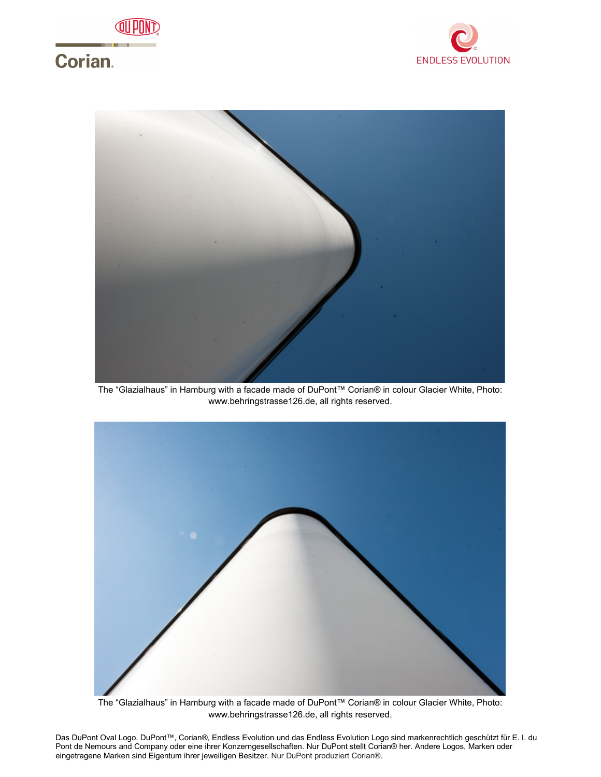

# **Corian.**





The "Glazialhaus" in Hamburg with a facade made of DuPont™ Corian® in colour Glacier White, Photo: www.behringstrasse126.de, all rights reserved.



The "Glazialhaus" in Hamburg with a facade made of DuPont™ Corian® in colour Glacier White, Photo: www.behringstrasse126.de, all rights reserved.

Das DuPont Oval Logo, DuPont™, Corian®, Endless Evolution und das Endless Evolution Logo sind markenrechtlich geschützt für E. I. du Pont de Nemours and Company oder eine ihrer Konzerngesellschaften. Nur DuPont stellt Corian® her. Andere Logos, Marken oder eingetragene Marken sind Eigentum ihrer jeweiligen Besitzer. Nur DuPont produziert Corian®.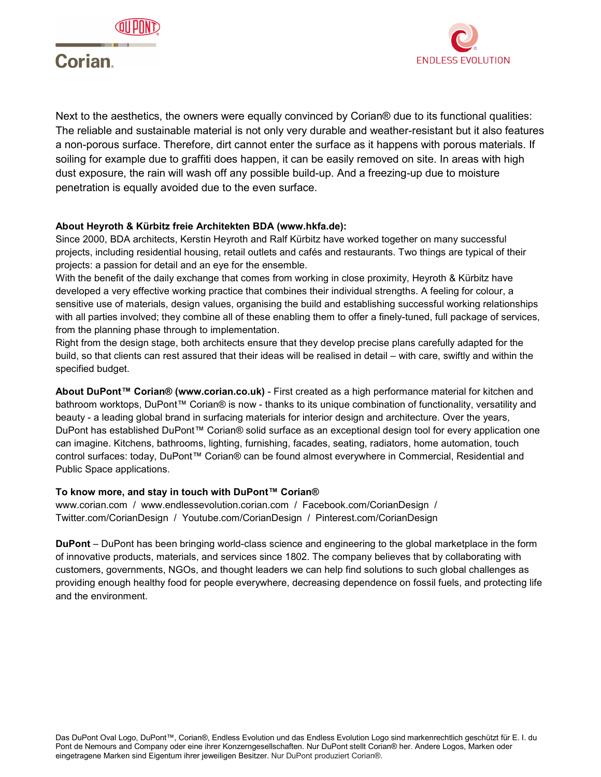



## **Corian**

Next to the aesthetics, the owners were equally convinced by Corian® due to its functional qualities: The reliable and sustainable material is not only very durable and weather-resistant but it also features a non-porous surface. Therefore, dirt cannot enter the surface as it happens with porous materials. If soiling for example due to graffiti does happen, it can be easily removed on site. In areas with high dust exposure, the rain will wash off any possible build-up. And a freezing-up due to moisture penetration is equally avoided due to the even surface.

### **About Heyroth & Kürbitz freie Architekten BDA (www.hkfa.de):**

Since 2000, BDA architects, Kerstin Heyroth and Ralf Kürbitz have worked together on many successful projects, including residential housing, retail outlets and cafés and restaurants. Two things are typical of their projects: a passion for detail and an eye for the ensemble.

With the benefit of the daily exchange that comes from working in close proximity, Heyroth & Kürbitz have developed a very effective working practice that combines their individual strengths. A feeling for colour, a sensitive use of materials, design values, organising the build and establishing successful working relationships with all parties involved; they combine all of these enabling them to offer a finely-tuned, full package of services, from the planning phase through to implementation.

Right from the design stage, both architects ensure that they develop precise plans carefully adapted for the build, so that clients can rest assured that their ideas will be realised in detail – with care, swiftly and within the specified budget.

**About DuPont™ Corian® (www.corian.co.uk)** - First created as a high performance material for kitchen and bathroom worktops, DuPont™ Corian® is now - thanks to its unique combination of functionality, versatility and beauty - a leading global brand in surfacing materials for interior design and architecture. Over the years, DuPont has established DuPont™ Corian® solid surface as an exceptional design tool for every application one can imagine. Kitchens, bathrooms, lighting, furnishing, facades, seating, radiators, home automation, touch control surfaces: today, DuPont™ Corian® can be found almost everywhere in Commercial, Residential and Public Space applications.

#### **To know more, and stay in touch with DuPont™ Corian®**

www.corian.com / www.endlessevolution.corian.com / Facebook.com/CorianDesign / Twitter.com/CorianDesign / Youtube.com/CorianDesign / Pinterest.com/CorianDesign

**DuPont** – DuPont has been bringing world-class science and engineering to the global marketplace in the form of innovative products, materials, and services since 1802. The company believes that by collaborating with customers, governments, NGOs, and thought leaders we can help find solutions to such global challenges as providing enough healthy food for people everywhere, decreasing dependence on fossil fuels, and protecting life and the environment.